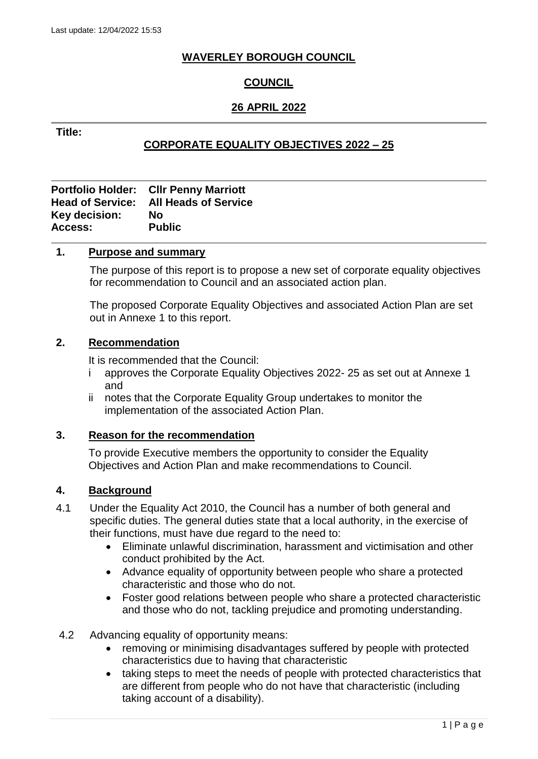## **WAVERLEY BOROUGH COUNCIL**

## **COUNCIL**

## **26 APRIL 2022**

## **Title:**

## **CORPORATE EQUALITY OBJECTIVES 2022 – 25**

|               | <b>Portfolio Holder: Cllr Penny Marriott</b> |
|---------------|----------------------------------------------|
|               | <b>Head of Service: All Heads of Service</b> |
| Key decision: | No                                           |
| Access:       | <b>Public</b>                                |

## **1. Purpose and summary**

The purpose of this report is to propose a new set of corporate equality objectives for recommendation to Council and an associated action plan.

The proposed Corporate Equality Objectives and associated Action Plan are set out in Annexe 1 to this report.

#### **2. Recommendation**

It is recommended that the Council:

- i approves the Corporate Equality Objectives 2022- 25 as set out at Annexe 1 and
- ii notes that the Corporate Equality Group undertakes to monitor the implementation of the associated Action Plan.

#### **3. Reason for the recommendation**

To provide Executive members the opportunity to consider the Equality Objectives and Action Plan and make recommendations to Council.

#### **4. Background**

- 4.1 Under the Equality Act 2010, the Council has a number of both general and specific duties. The general duties state that a local authority, in the exercise of their functions, must have due regard to the need to:
	- Eliminate unlawful discrimination, harassment and victimisation and other conduct prohibited by the Act.
	- Advance equality of opportunity between people who share a protected characteristic and those who do not.
	- Foster good relations between people who share a protected characteristic and those who do not, tackling prejudice and promoting understanding.
- 4.2 Advancing equality of opportunity means:
	- removing or minimising disadvantages suffered by people with protected characteristics due to having that characteristic
	- taking steps to meet the needs of people with protected characteristics that are different from people who do not have that characteristic (including taking account of a disability).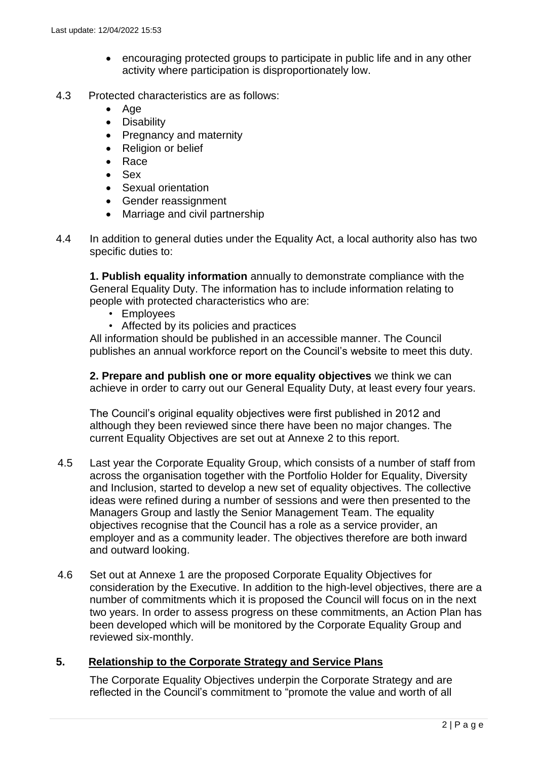- encouraging protected groups to participate in public life and in any other activity where participation is disproportionately low.
- 4.3 Protected characteristics are as follows:
	- $A$ ge
	- Disability
	- Pregnancy and maternity
	- Religion or belief
	- Race
	- Sex
	- Sexual orientation
	- Gender reassignment
	- Marriage and civil partnership
- 4.4 In addition to general duties under the Equality Act, a local authority also has two specific duties to:

**1. Publish equality information** annually to demonstrate compliance with the General Equality Duty. The information has to include information relating to people with protected characteristics who are:

- Employees
- Affected by its policies and practices

All information should be published in an accessible manner. The Council publishes an annual workforce report on the Council's website to meet this duty.

**2. Prepare and publish one or more equality objectives** we think we can achieve in order to carry out our General Equality Duty, at least every four years.

The Council's original equality objectives were first published in 2012 and although they been reviewed since there have been no major changes. The current Equality Objectives are set out at Annexe 2 to this report.

- 4.5 Last year the Corporate Equality Group, which consists of a number of staff from across the organisation together with the Portfolio Holder for Equality, Diversity and Inclusion, started to develop a new set of equality objectives. The collective ideas were refined during a number of sessions and were then presented to the Managers Group and lastly the Senior Management Team. The equality objectives recognise that the Council has a role as a service provider, an employer and as a community leader. The objectives therefore are both inward and outward looking.
- 4.6 Set out at Annexe 1 are the proposed Corporate Equality Objectives for consideration by the Executive. In addition to the high-level objectives, there are a number of commitments which it is proposed the Council will focus on in the next two years. In order to assess progress on these commitments, an Action Plan has been developed which will be monitored by the Corporate Equality Group and reviewed six-monthly.

## **5. Relationship to the Corporate Strategy and Service Plans**

The Corporate Equality Objectives underpin the Corporate Strategy and are reflected in the Council's commitment to "promote the value and worth of all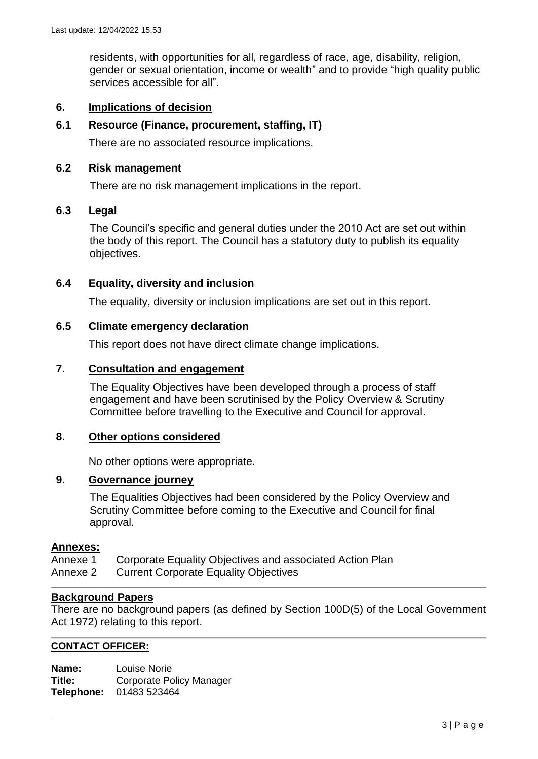residents, with opportunities for all, regardless of race, age, disability, religion, gender or sexual orientation, income or wealth" and to provide "high quality public services accessible for all".

## **6. Implications of decision**

## **6.1 Resource (Finance, procurement, staffing, IT)**

There are no associated resource implications.

#### **6.2 Risk management**

There are no risk management implications in the report.

#### **6.3 Legal**

The Council's specific and general duties under the 2010 Act are set out within the body of this report. The Council has a statutory duty to publish its equality objectives.

## **6.4 Equality, diversity and inclusion**

The equality, diversity or inclusion implications are set out in this report.

## **6.5 Climate emergency declaration**

This report does not have direct climate change implications.

#### **7. Consultation and engagement**

The Equality Objectives have been developed through a process of staff engagement and have been scrutinised by the Policy Overview & Scrutiny Committee before travelling to the Executive and Council for approval.

#### **8. Other options considered**

No other options were appropriate.

## **9. Governance journey**

The Equalities Objectives had been considered by the Policy Overview and Scrutiny Committee before coming to the Executive and Council for final approval.

#### **Annexes:**

Annexe 1 Corporate Equality Objectives and associated Action Plan Annexe 2 Current Corporate Equality Objectives

## **Background Papers**

There are no background papers (as defined by Section 100D(5) of the Local Government Act 1972) relating to this report.

#### **CONTACT OFFICER:**

**Name:** Louise Norie **Title:** Corporate Policy Manager **Telephone:** 01483 523464